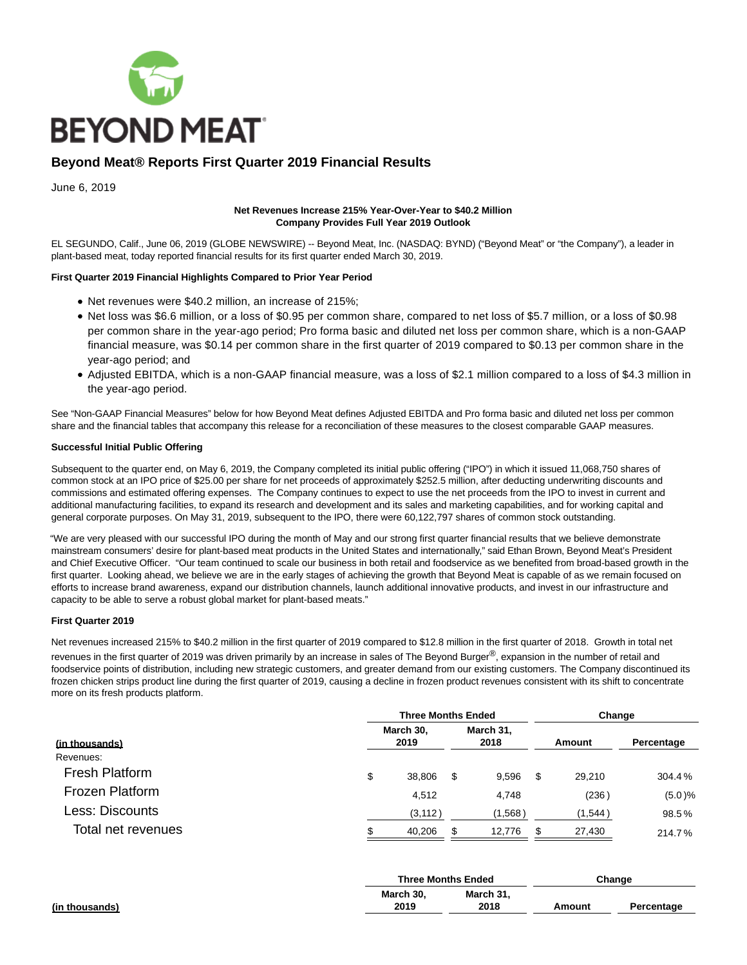

# **Beyond Meat® Reports First Quarter 2019 Financial Results**

June 6, 2019

#### **Net Revenues Increase 215% Year-Over-Year to \$40.2 Million Company Provides Full Year 2019 Outlook**

EL SEGUNDO, Calif., June 06, 2019 (GLOBE NEWSWIRE) -- Beyond Meat, Inc. (NASDAQ: BYND) ("Beyond Meat" or "the Company"), a leader in plant-based meat, today reported financial results for its first quarter ended March 30, 2019.

### **First Quarter 2019 Financial Highlights Compared to Prior Year Period**

- Net revenues were \$40.2 million, an increase of 215%;
- Net loss was \$6.6 million, or a loss of \$0.95 per common share, compared to net loss of \$5.7 million, or a loss of \$0.98 per common share in the year-ago period; Pro forma basic and diluted net loss per common share, which is a non-GAAP financial measure, was \$0.14 per common share in the first quarter of 2019 compared to \$0.13 per common share in the year-ago period; and
- Adjusted EBITDA, which is a non-GAAP financial measure, was a loss of \$2.1 million compared to a loss of \$4.3 million in the year-ago period.

See "Non-GAAP Financial Measures" below for how Beyond Meat defines Adjusted EBITDA and Pro forma basic and diluted net loss per common share and the financial tables that accompany this release for a reconciliation of these measures to the closest comparable GAAP measures.

### **Successful Initial Public Offering**

Subsequent to the quarter end, on May 6, 2019, the Company completed its initial public offering ("IPO") in which it issued 11,068,750 shares of common stock at an IPO price of \$25.00 per share for net proceeds of approximately \$252.5 million, after deducting underwriting discounts and commissions and estimated offering expenses. The Company continues to expect to use the net proceeds from the IPO to invest in current and additional manufacturing facilities, to expand its research and development and its sales and marketing capabilities, and for working capital and general corporate purposes. On May 31, 2019, subsequent to the IPO, there were 60,122,797 shares of common stock outstanding.

"We are very pleased with our successful IPO during the month of May and our strong first quarter financial results that we believe demonstrate mainstream consumers' desire for plant-based meat products in the United States and internationally," said Ethan Brown, Beyond Meat's President and Chief Executive Officer. "Our team continued to scale our business in both retail and foodservice as we benefited from broad-based growth in the first quarter. Looking ahead, we believe we are in the early stages of achieving the growth that Beyond Meat is capable of as we remain focused on efforts to increase brand awareness, expand our distribution channels, launch additional innovative products, and invest in our infrastructure and capacity to be able to serve a robust global market for plant-based meats."

#### **First Quarter 2019**

Net revenues increased 215% to \$40.2 million in the first quarter of 2019 compared to \$12.8 million in the first quarter of 2018. Growth in total net revenues in the first quarter of 2019 was driven primarily by an increase in sales of The Beyond Burger®, expansion in the number of retail and foodservice points of distribution, including new strategic customers, and greater demand from our existing customers. The Company discontinued its frozen chicken strips product line during the first quarter of 2019, causing a decline in frozen product revenues consistent with its shift to concentrate more on its fresh products platform.

|                       | <b>Three Months Ended</b> |          |                   |         | Change |         |            |  |
|-----------------------|---------------------------|----------|-------------------|---------|--------|---------|------------|--|
| (in thousands)        | March 30,<br>2019         |          | March 31.<br>2018 |         | Amount |         | Percentage |  |
| Revenues:             |                           |          |                   |         |        |         |            |  |
| <b>Fresh Platform</b> | \$                        | 38.806   | \$                | 9.596   | \$     | 29.210  | 304.4%     |  |
| Frozen Platform       |                           | 4.512    |                   | 4.748   |        | (236)   | $(5.0)\%$  |  |
| Less: Discounts       |                           | (3, 112) |                   | (1,568) |        | (1,544) | 98.5%      |  |
| Total net revenues    | S                         | 40,206   | S                 | 12,776  | \$     | 27,430  | 214.7%     |  |

|                | <b>Three Months Ended</b> |                   | Change |            |  |  |
|----------------|---------------------------|-------------------|--------|------------|--|--|
| (in thousands) | March 30,<br>2019         | March 31,<br>2018 | Amount | Percentage |  |  |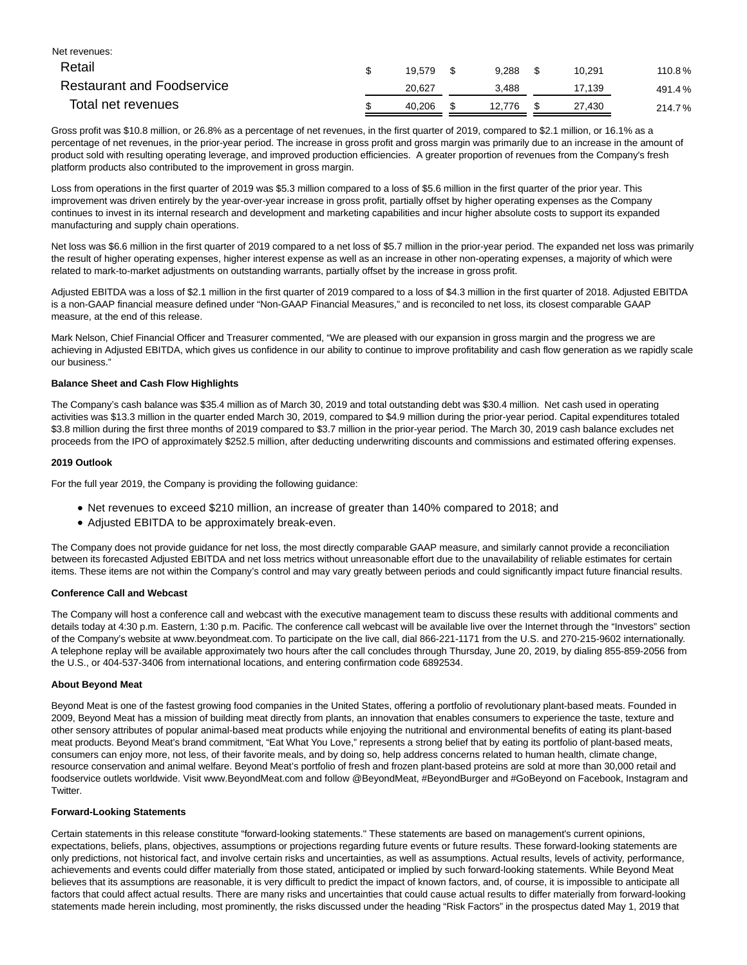| Net revenues: |  |
|---------------|--|
|               |  |

| Retail                     | 19.579 | 9.288  | 10.291 | 110.8% |
|----------------------------|--------|--------|--------|--------|
| Restaurant and Foodservice | 20.627 | 3.488  | 17.139 | 491.4% |
| Total net revenues         | 40.206 | 12.776 | 27.430 | 214.7% |

Gross profit was \$10.8 million, or 26.8% as a percentage of net revenues, in the first quarter of 2019, compared to \$2.1 million, or 16.1% as a percentage of net revenues, in the prior-year period. The increase in gross profit and gross margin was primarily due to an increase in the amount of product sold with resulting operating leverage, and improved production efficiencies. A greater proportion of revenues from the Company's fresh platform products also contributed to the improvement in gross margin.

Loss from operations in the first quarter of 2019 was \$5.3 million compared to a loss of \$5.6 million in the first quarter of the prior year. This improvement was driven entirely by the year-over-year increase in gross profit, partially offset by higher operating expenses as the Company continues to invest in its internal research and development and marketing capabilities and incur higher absolute costs to support its expanded manufacturing and supply chain operations.

Net loss was \$6.6 million in the first quarter of 2019 compared to a net loss of \$5.7 million in the prior-year period. The expanded net loss was primarily the result of higher operating expenses, higher interest expense as well as an increase in other non-operating expenses, a majority of which were related to mark-to-market adjustments on outstanding warrants, partially offset by the increase in gross profit.

Adjusted EBITDA was a loss of \$2.1 million in the first quarter of 2019 compared to a loss of \$4.3 million in the first quarter of 2018. Adjusted EBITDA is a non-GAAP financial measure defined under "Non-GAAP Financial Measures," and is reconciled to net loss, its closest comparable GAAP measure, at the end of this release.

Mark Nelson, Chief Financial Officer and Treasurer commented, "We are pleased with our expansion in gross margin and the progress we are achieving in Adjusted EBITDA, which gives us confidence in our ability to continue to improve profitability and cash flow generation as we rapidly scale our business."

#### **Balance Sheet and Cash Flow Highlights**

The Company's cash balance was \$35.4 million as of March 30, 2019 and total outstanding debt was \$30.4 million. Net cash used in operating activities was \$13.3 million in the quarter ended March 30, 2019, compared to \$4.9 million during the prior-year period. Capital expenditures totaled \$3.8 million during the first three months of 2019 compared to \$3.7 million in the prior-year period. The March 30, 2019 cash balance excludes net proceeds from the IPO of approximately \$252.5 million, after deducting underwriting discounts and commissions and estimated offering expenses.

#### **2019 Outlook**

For the full year 2019, the Company is providing the following guidance:

- Net revenues to exceed \$210 million, an increase of greater than 140% compared to 2018; and
- Adjusted EBITDA to be approximately break-even.

The Company does not provide guidance for net loss, the most directly comparable GAAP measure, and similarly cannot provide a reconciliation between its forecasted Adjusted EBITDA and net loss metrics without unreasonable effort due to the unavailability of reliable estimates for certain items. These items are not within the Company's control and may vary greatly between periods and could significantly impact future financial results.

#### **Conference Call and Webcast**

The Company will host a conference call and webcast with the executive management team to discuss these results with additional comments and details today at 4:30 p.m. Eastern, 1:30 p.m. Pacific. The conference call webcast will be available live over the Internet through the "Investors" section of the Company's website at www.beyondmeat.com. To participate on the live call, dial 866-221-1171 from the U.S. and 270-215-9602 internationally. A telephone replay will be available approximately two hours after the call concludes through Thursday, June 20, 2019, by dialing 855-859-2056 from the U.S., or 404-537-3406 from international locations, and entering confirmation code 6892534.

#### **About Beyond Meat**

Beyond Meat is one of the fastest growing food companies in the United States, offering a portfolio of revolutionary plant-based meats. Founded in 2009, Beyond Meat has a mission of building meat directly from plants, an innovation that enables consumers to experience the taste, texture and other sensory attributes of popular animal-based meat products while enjoying the nutritional and environmental benefits of eating its plant-based meat products. Beyond Meat's brand commitment, "Eat What You Love," represents a strong belief that by eating its portfolio of plant-based meats, consumers can enjoy more, not less, of their favorite meals, and by doing so, help address concerns related to human health, climate change, resource conservation and animal welfare. Beyond Meat's portfolio of fresh and frozen plant-based proteins are sold at more than 30,000 retail and foodservice outlets worldwide. Visit www.BeyondMeat.com and follow @BeyondMeat, #BeyondBurger and #GoBeyond on Facebook, Instagram and **Twitter** 

#### **Forward-Looking Statements**

Certain statements in this release constitute "forward-looking statements." These statements are based on management's current opinions, expectations, beliefs, plans, objectives, assumptions or projections regarding future events or future results. These forward-looking statements are only predictions, not historical fact, and involve certain risks and uncertainties, as well as assumptions. Actual results, levels of activity, performance, achievements and events could differ materially from those stated, anticipated or implied by such forward-looking statements. While Beyond Meat believes that its assumptions are reasonable, it is very difficult to predict the impact of known factors, and, of course, it is impossible to anticipate all factors that could affect actual results. There are many risks and uncertainties that could cause actual results to differ materially from forward-looking statements made herein including, most prominently, the risks discussed under the heading "Risk Factors" in the prospectus dated May 1, 2019 that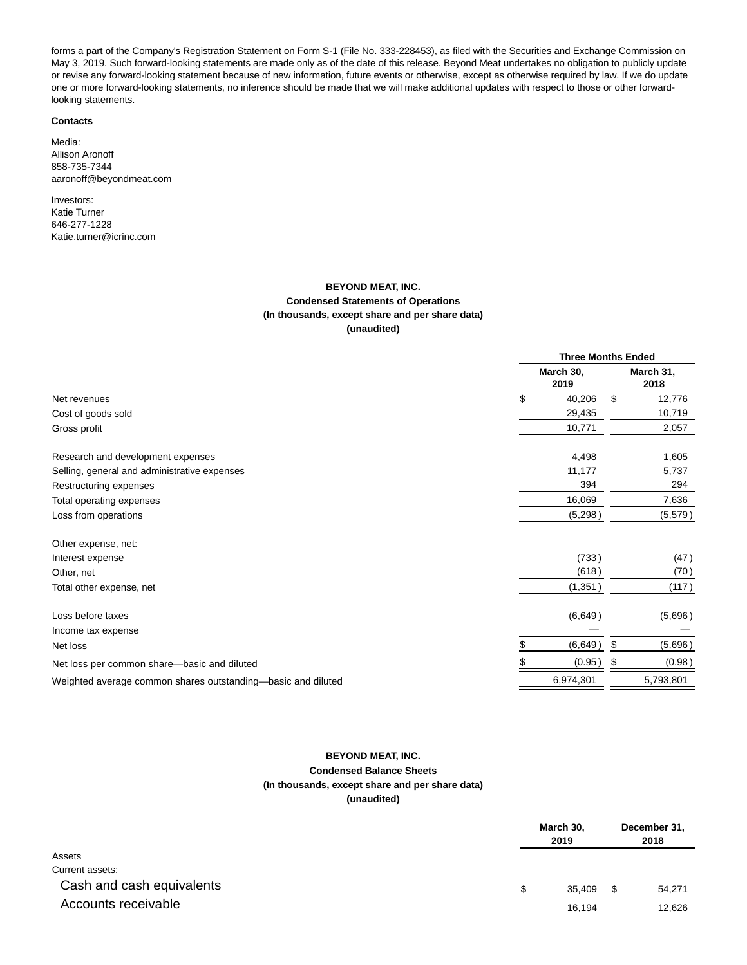forms a part of the Company's Registration Statement on Form S-1 (File No. 333-228453), as filed with the Securities and Exchange Commission on May 3, 2019. Such forward-looking statements are made only as of the date of this release. Beyond Meat undertakes no obligation to publicly update or revise any forward-looking statement because of new information, future events or otherwise, except as otherwise required by law. If we do update one or more forward-looking statements, no inference should be made that we will make additional updates with respect to those or other forwardlooking statements.

### **Contacts**

Media: Allison Aronoff 858-735-7344 aaronoff@beyondmeat.com

Investors: Katie Turner 646-277-1228 Katie.turner@icrinc.com

# **BEYOND MEAT, INC. Condensed Statements of Operations (In thousands, except share and per share data) (unaudited)**

|                                                              | <b>Three Months Ended</b><br>March 30,<br>2019<br>40,206<br>29,435<br>10,771<br>4,498<br>11,177<br>394<br>16,069<br>(5,298)<br>(733)<br>(618) |    |                   |
|--------------------------------------------------------------|-----------------------------------------------------------------------------------------------------------------------------------------------|----|-------------------|
|                                                              |                                                                                                                                               |    | March 31,<br>2018 |
| Net revenues                                                 | \$                                                                                                                                            | \$ | 12,776            |
| Cost of goods sold                                           |                                                                                                                                               |    | 10,719            |
| Gross profit                                                 |                                                                                                                                               |    | 2,057             |
| Research and development expenses                            |                                                                                                                                               |    | 1,605             |
| Selling, general and administrative expenses                 |                                                                                                                                               |    | 5,737             |
| Restructuring expenses                                       |                                                                                                                                               |    | 294               |
| Total operating expenses                                     |                                                                                                                                               |    | 7,636             |
| Loss from operations                                         |                                                                                                                                               |    | (5,579)           |
| Other expense, net:                                          |                                                                                                                                               |    |                   |
| Interest expense                                             |                                                                                                                                               |    | (47)              |
| Other, net                                                   |                                                                                                                                               |    | (70)              |
| Total other expense, net                                     | (1, 351)                                                                                                                                      |    | (117)             |
| Loss before taxes                                            | (6,649)                                                                                                                                       |    | (5,696)           |
| Income tax expense                                           |                                                                                                                                               |    |                   |
| Net loss                                                     | (6,649)                                                                                                                                       | \$ | (5,696)           |
| Net loss per common share-basic and diluted                  | (0.95)                                                                                                                                        | S  | (0.98)            |
| Weighted average common shares outstanding—basic and diluted | 6,974,301                                                                                                                                     |    | 5,793,801         |
|                                                              |                                                                                                                                               |    |                   |

# **BEYOND MEAT, INC. Condensed Balance Sheets (In thousands, except share and per share data) (unaudited)**

|                           |    | March 30,<br>2019 | December 31,<br>2018 |        |  |
|---------------------------|----|-------------------|----------------------|--------|--|
| Assets<br>Current assets: |    |                   |                      |        |  |
| Cash and cash equivalents | \$ | 35.409            | - \$                 | 54,271 |  |
| Accounts receivable       |    | 16.194            |                      | 12,626 |  |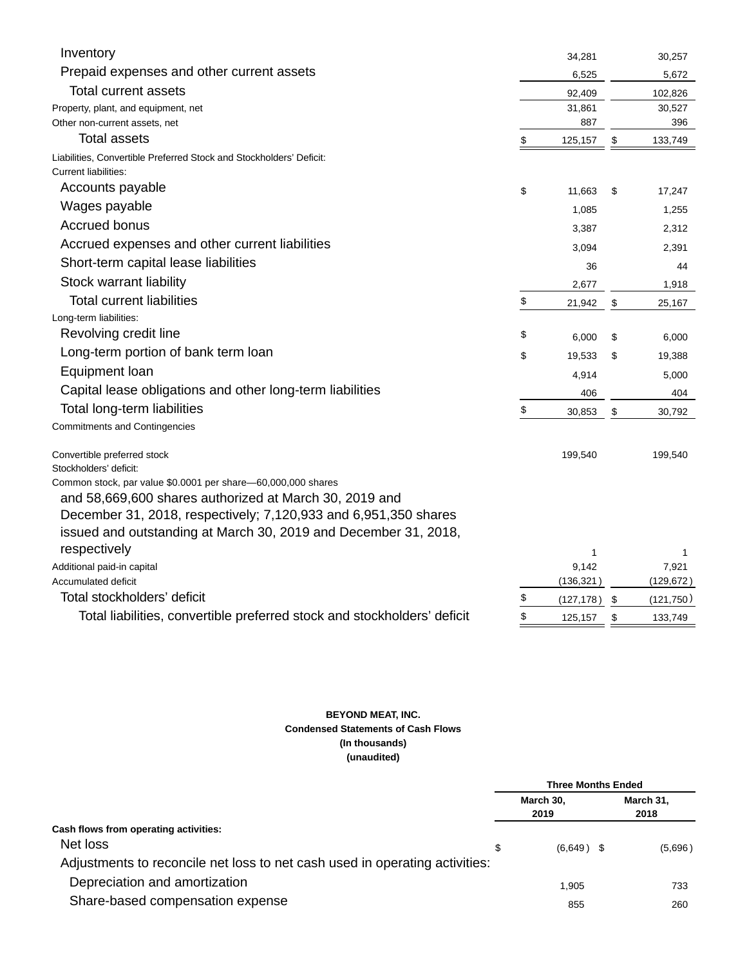| Prepaid expenses and other current assets<br><b>Total current assets</b>       | 6,525<br>92,409 | 5,672           |
|--------------------------------------------------------------------------------|-----------------|-----------------|
|                                                                                |                 |                 |
|                                                                                |                 | 102,826         |
| Property, plant, and equipment, net                                            | 31,861          | 30,527          |
| Other non-current assets, net                                                  | 887             | 396             |
| <b>Total assets</b><br>\$                                                      | 125,157         | \$<br>133,749   |
| Liabilities, Convertible Preferred Stock and Stockholders' Deficit:            |                 |                 |
| <b>Current liabilities:</b>                                                    |                 |                 |
| Accounts payable<br>\$                                                         | 11,663          | \$<br>17,247    |
| Wages payable                                                                  | 1,085           | 1,255           |
| Accrued bonus                                                                  | 3,387           | 2,312           |
| Accrued expenses and other current liabilities                                 | 3,094           | 2,391           |
| Short-term capital lease liabilities                                           | 36              | 44              |
| Stock warrant liability                                                        | 2,677           | 1,918           |
| <b>Total current liabilities</b><br>\$                                         | 21,942          | \$<br>25,167    |
| Long-term liabilities:                                                         |                 |                 |
| Revolving credit line<br>\$                                                    | 6,000           | \$<br>6,000     |
| Long-term portion of bank term loan<br>\$                                      | 19,533          | \$<br>19,388    |
| Equipment loan                                                                 | 4,914           | 5,000           |
| Capital lease obligations and other long-term liabilities                      | 406             | 404             |
| Total long-term liabilities<br>\$                                              | 30,853          | \$<br>30,792    |
| <b>Commitments and Contingencies</b>                                           |                 |                 |
| Convertible preferred stock                                                    | 199,540         | 199,540         |
| Stockholders' deficit:                                                         |                 |                 |
| Common stock, par value \$0.0001 per share-60,000,000 shares                   |                 |                 |
| and 58,669,600 shares authorized at March 30, 2019 and                         |                 |                 |
| December 31, 2018, respectively; 7,120,933 and 6,951,350 shares                |                 |                 |
| issued and outstanding at March 30, 2019 and December 31, 2018,                |                 |                 |
| respectively                                                                   | 1               | 1               |
| Additional paid-in capital                                                     | 9,142           | 7,921           |
| Accumulated deficit                                                            | (136, 321)      | (129, 672)      |
| Total stockholders' deficit<br>\$                                              | (127, 178)      | \$<br>(121,750) |
| Total liabilities, convertible preferred stock and stockholders' deficit<br>\$ | 125,157         | \$<br>133,749   |

# **BEYOND MEAT, INC. Condensed Statements of Cash Flows (In thousands) (unaudited)**

|                                                                             |    | <b>Three Months Ended</b> |                   |  |
|-----------------------------------------------------------------------------|----|---------------------------|-------------------|--|
|                                                                             |    | March 30,<br>2019         | March 31,<br>2018 |  |
| Cash flows from operating activities:                                       |    |                           |                   |  |
| Net loss                                                                    | \$ | $(6,649)$ \$              | (5,696)           |  |
| Adjustments to reconcile net loss to net cash used in operating activities: |    |                           |                   |  |
| Depreciation and amortization                                               |    | 1,905                     | 733               |  |
| Share-based compensation expense                                            |    | 855                       | 260               |  |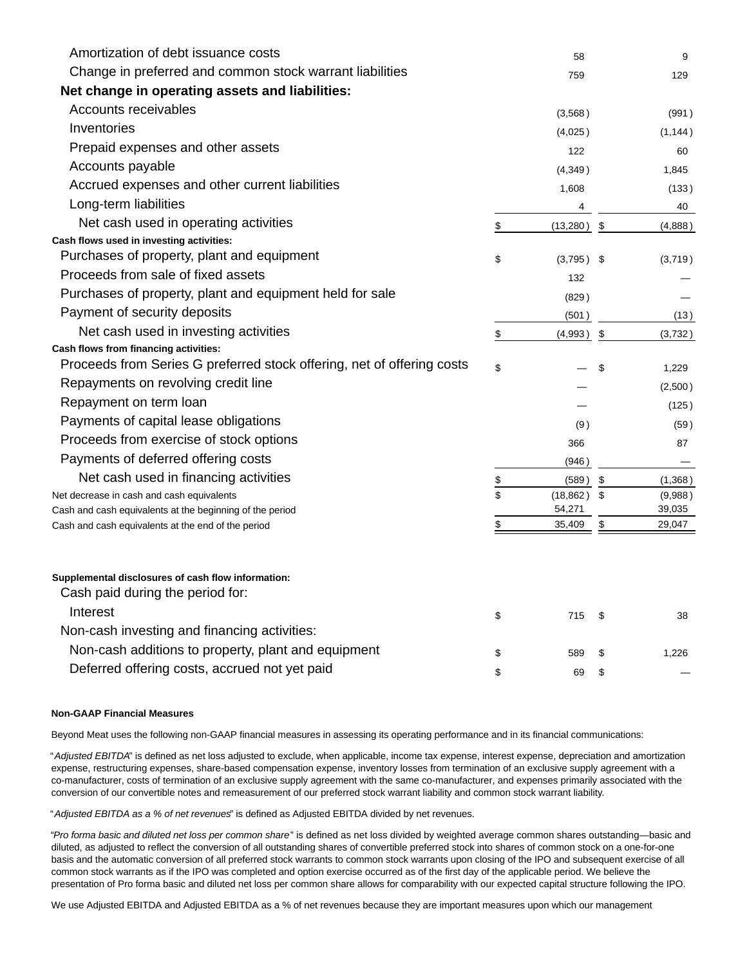| Amortization of debt issuance costs                                    | 58                  | 9             |
|------------------------------------------------------------------------|---------------------|---------------|
| Change in preferred and common stock warrant liabilities               | 759                 | 129           |
| Net change in operating assets and liabilities:                        |                     |               |
| Accounts receivables                                                   | (3,568)             | (991)         |
| Inventories                                                            | (4,025)             | (1, 144)      |
| Prepaid expenses and other assets                                      | 122                 | 60            |
| Accounts payable                                                       | (4,349)             | 1,845         |
| Accrued expenses and other current liabilities                         | 1,608               | (133)         |
| Long-term liabilities                                                  | 4                   | 40            |
| Net cash used in operating activities                                  | \$<br>$(13,280)$ \$ | (4,888)       |
| Cash flows used in investing activities:                               |                     |               |
| Purchases of property, plant and equipment                             | \$<br>$(3,795)$ \$  | (3,719)       |
| Proceeds from sale of fixed assets                                     | 132                 |               |
| Purchases of property, plant and equipment held for sale               | (829)               |               |
| Payment of security deposits                                           | (501)               | (13)          |
| Net cash used in investing activities                                  | \$<br>$(4,993)$ \$  | (3,732)       |
| Cash flows from financing activities:                                  |                     |               |
| Proceeds from Series G preferred stock offering, net of offering costs | \$                  | \$<br>1,229   |
| Repayments on revolving credit line                                    |                     | (2,500)       |
| Repayment on term loan                                                 |                     | (125)         |
| Payments of capital lease obligations                                  | (9)                 | (59)          |
| Proceeds from exercise of stock options                                | 366                 | 87            |
| Payments of deferred offering costs                                    | (946)               |               |
| Net cash used in financing activities                                  | \$<br>(589)         | \$<br>(1,368) |
| Net decrease in cash and cash equivalents                              | \$<br>(18, 862)     | \$<br>(9,988) |
| Cash and cash equivalents at the beginning of the period               | 54,271              | 39,035        |
| Cash and cash equivalents at the end of the period                     | \$<br>35,409        | \$<br>29,047  |
| Supplemental disclosures of cash flow information:                     |                     |               |
| Cash paid during the period for:                                       |                     |               |
| Interest                                                               | \$<br>715           | \$<br>38      |
| Non-cash investing and financing activities:                           |                     |               |
| Non-cash additions to property, plant and equipment                    | \$<br>589           | \$<br>1,226   |
| Deferred offering costs, accrued not yet paid                          | \$<br>69            | \$            |

#### **Non-GAAP Financial Measures**

Beyond Meat uses the following non-GAAP financial measures in assessing its operating performance and in its financial communications:

"Adjusted EBITDA" is defined as net loss adjusted to exclude, when applicable, income tax expense, interest expense, depreciation and amortization expense, restructuring expenses, share-based compensation expense, inventory losses from termination of an exclusive supply agreement with a co-manufacturer, costs of termination of an exclusive supply agreement with the same co-manufacturer, and expenses primarily associated with the conversion of our convertible notes and remeasurement of our preferred stock warrant liability and common stock warrant liability.

"Adjusted EBITDA as a % of net revenues" is defined as Adjusted EBITDA divided by net revenues.

"Pro forma basic and diluted net loss per common share" is defined as net loss divided by weighted average common shares outstanding—basic and diluted, as adjusted to reflect the conversion of all outstanding shares of convertible preferred stock into shares of common stock on a one-for-one basis and the automatic conversion of all preferred stock warrants to common stock warrants upon closing of the IPO and subsequent exercise of all common stock warrants as if the IPO was completed and option exercise occurred as of the first day of the applicable period. We believe the presentation of Pro forma basic and diluted net loss per common share allows for comparability with our expected capital structure following the IPO.

We use Adjusted EBITDA and Adjusted EBITDA as a % of net revenues because they are important measures upon which our management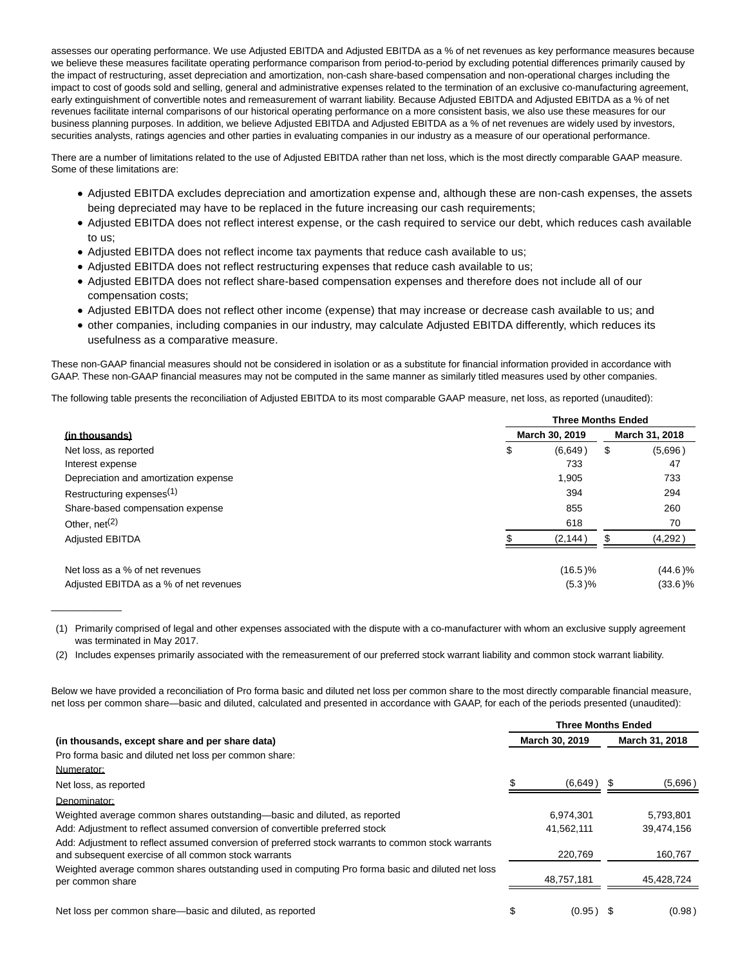assesses our operating performance. We use Adjusted EBITDA and Adjusted EBITDA as a % of net revenues as key performance measures because we believe these measures facilitate operating performance comparison from period-to-period by excluding potential differences primarily caused by the impact of restructuring, asset depreciation and amortization, non-cash share-based compensation and non-operational charges including the impact to cost of goods sold and selling, general and administrative expenses related to the termination of an exclusive co-manufacturing agreement, early extinguishment of convertible notes and remeasurement of warrant liability. Because Adjusted EBITDA and Adjusted EBITDA as a % of net revenues facilitate internal comparisons of our historical operating performance on a more consistent basis, we also use these measures for our business planning purposes. In addition, we believe Adjusted EBITDA and Adjusted EBITDA as a % of net revenues are widely used by investors, securities analysts, ratings agencies and other parties in evaluating companies in our industry as a measure of our operational performance.

There are a number of limitations related to the use of Adjusted EBITDA rather than net loss, which is the most directly comparable GAAP measure. Some of these limitations are:

- Adjusted EBITDA excludes depreciation and amortization expense and, although these are non-cash expenses, the assets being depreciated may have to be replaced in the future increasing our cash requirements;
- Adjusted EBITDA does not reflect interest expense, or the cash required to service our debt, which reduces cash available to us;
- Adjusted EBITDA does not reflect income tax payments that reduce cash available to us;
- Adjusted EBITDA does not reflect restructuring expenses that reduce cash available to us;
- Adjusted EBITDA does not reflect share-based compensation expenses and therefore does not include all of our compensation costs;
- Adjusted EBITDA does not reflect other income (expense) that may increase or decrease cash available to us; and
- other companies, including companies in our industry, may calculate Adjusted EBITDA differently, which reduces its usefulness as a comparative measure.

These non-GAAP financial measures should not be considered in isolation or as a substitute for financial information provided in accordance with GAAP. These non-GAAP financial measures may not be computed in the same manner as similarly titled measures used by other companies.

The following table presents the reconciliation of Adjusted EBITDA to its most comparable GAAP measure, net loss, as reported (unaudited):

|                                        | <b>Three Months Ended</b> |                       |    |                |  |  |  |
|----------------------------------------|---------------------------|-----------------------|----|----------------|--|--|--|
| (in thousands)                         |                           | <b>March 30, 2019</b> |    | March 31, 2018 |  |  |  |
| Net loss, as reported                  | \$                        | (6,649)               | \$ | (5,696)        |  |  |  |
| Interest expense                       |                           | 733                   |    | 47             |  |  |  |
| Depreciation and amortization expense  |                           | 1,905                 |    | 733            |  |  |  |
| Restructuring expenses <sup>(1)</sup>  |                           | 394                   |    | 294            |  |  |  |
| Share-based compensation expense       |                           | 855                   |    | 260            |  |  |  |
| Other, $net(2)$                        |                           | 618                   |    | 70             |  |  |  |
| <b>Adjusted EBITDA</b>                 |                           | (2, 144)              | ß. | (4,292)        |  |  |  |
| Net loss as a % of net revenues        |                           | $(16.5)\%$            |    | $(44.6)\%$     |  |  |  |
| Adjusted EBITDA as a % of net revenues |                           | (5.3)%                |    | $(33.6)\%$     |  |  |  |

(1) Primarily comprised of legal and other expenses associated with the dispute with a co-manufacturer with whom an exclusive supply agreement was terminated in May 2017.

(2) Includes expenses primarily associated with the remeasurement of our preferred stock warrant liability and common stock warrant liability.

 $\overline{\phantom{a}}$ 

Below we have provided a reconciliation of Pro forma basic and diluted net loss per common share to the most directly comparable financial measure, net loss per common share—basic and diluted, calculated and presented in accordance with GAAP, for each of the periods presented (unaudited):

|                                                                                                                                                            | <b>Three Months Ended</b> |                |  |                |  |
|------------------------------------------------------------------------------------------------------------------------------------------------------------|---------------------------|----------------|--|----------------|--|
| (in thousands, except share and per share data)                                                                                                            |                           | March 30, 2019 |  | March 31, 2018 |  |
| Pro forma basic and diluted net loss per common share:                                                                                                     |                           |                |  |                |  |
| Numerator:                                                                                                                                                 |                           |                |  |                |  |
| Net loss, as reported                                                                                                                                      |                           | (6,649)        |  | (5,696)        |  |
| Denominator:                                                                                                                                               |                           |                |  |                |  |
| Weighted average common shares outstanding—basic and diluted, as reported                                                                                  |                           | 6.974.301      |  | 5,793,801      |  |
| Add: Adjustment to reflect assumed conversion of convertible preferred stock                                                                               |                           | 41,562,111     |  | 39,474,156     |  |
| Add: Adjustment to reflect assumed conversion of preferred stock warrants to common stock warrants<br>and subsequent exercise of all common stock warrants |                           | 220,769        |  | 160,767        |  |
| Weighted average common shares outstanding used in computing Pro forma basic and diluted net loss<br>per common share                                      |                           | 48,757,181     |  | 45,428,724     |  |
| Net loss per common share—basic and diluted, as reported                                                                                                   |                           | (0.95)         |  | (0.98)         |  |